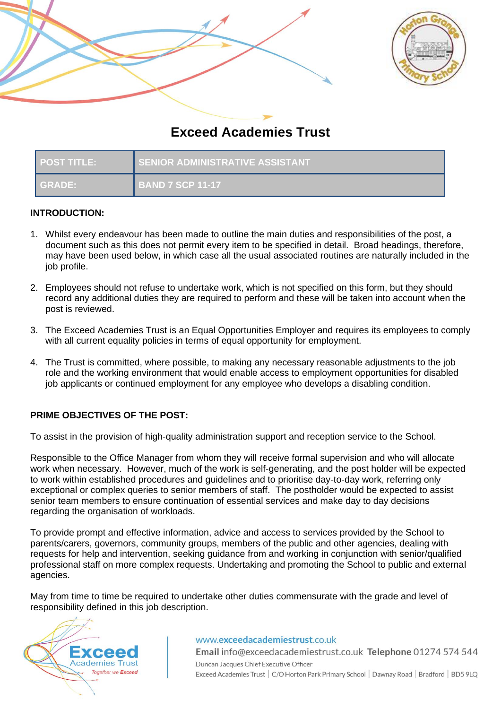



# **Exceed Academies Trust**

| <b>POST TITLE:</b> | <b>SENIOR ADMINISTRATIVE ASSISTANT</b> |
|--------------------|----------------------------------------|
| I GRADE:           | <b>BAND 7 SCP 11-17</b>                |

### **INTRODUCTION:**

- 1. Whilst every endeavour has been made to outline the main duties and responsibilities of the post, a document such as this does not permit every item to be specified in detail. Broad headings, therefore, may have been used below, in which case all the usual associated routines are naturally included in the job profile.
- 2. Employees should not refuse to undertake work, which is not specified on this form, but they should record any additional duties they are required to perform and these will be taken into account when the post is reviewed.
- 3. The Exceed Academies Trust is an Equal Opportunities Employer and requires its employees to comply with all current equality policies in terms of equal opportunity for employment.
- 4. The Trust is committed, where possible, to making any necessary reasonable adjustments to the job role and the working environment that would enable access to employment opportunities for disabled job applicants or continued employment for any employee who develops a disabling condition.

# **PRIME OBJECTIVES OF THE POST:**

To assist in the provision of high-quality administration support and reception service to the School.

Responsible to the Office Manager from whom they will receive formal supervision and who will allocate work when necessary. However, much of the work is self-generating, and the post holder will be expected to work within established procedures and guidelines and to prioritise day-to-day work, referring only exceptional or complex queries to senior members of staff. The postholder would be expected to assist senior team members to ensure continuation of essential services and make day to day decisions regarding the organisation of workloads.

To provide prompt and effective information, advice and access to services provided by the School to parents/carers, governors, community groups, members of the public and other agencies, dealing with requests for help and intervention, seeking guidance from and working in conjunction with senior/qualified professional staff on more complex requests. Undertaking and promoting the School to public and external agencies.

May from time to time be required to undertake other duties commensurate with the grade and level of responsibility defined in this job description.



#### www.exceedacademiestrust.co.uk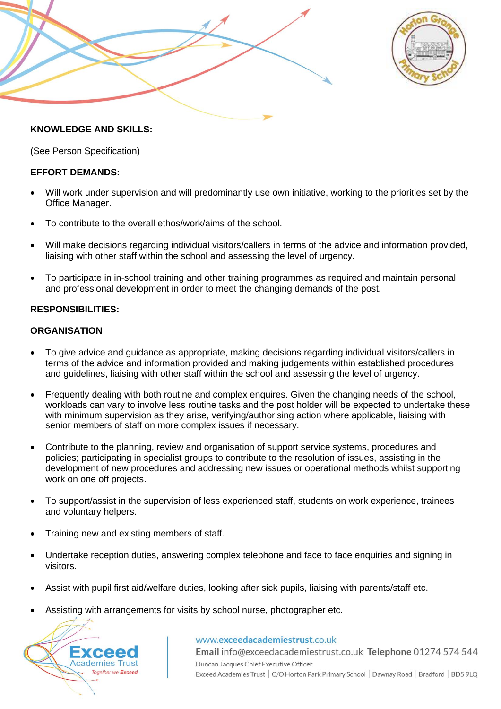



### **KNOWLEDGE AND SKILLS:**

(See Person Specification)

### **EFFORT DEMANDS:**

- Will work under supervision and will predominantly use own initiative, working to the priorities set by the Office Manager.
- To contribute to the overall ethos/work/aims of the school.
- Will make decisions regarding individual visitors/callers in terms of the advice and information provided, liaising with other staff within the school and assessing the level of urgency.
- To participate in in-school training and other training programmes as required and maintain personal and professional development in order to meet the changing demands of the post.

## **RESPONSIBILITIES:**

### **ORGANISATION**

- To give advice and guidance as appropriate, making decisions regarding individual visitors/callers in terms of the advice and information provided and making judgements within established procedures and guidelines, liaising with other staff within the school and assessing the level of urgency.
- Frequently dealing with both routine and complex enquires. Given the changing needs of the school, workloads can vary to involve less routine tasks and the post holder will be expected to undertake these with minimum supervision as they arise, verifying/authorising action where applicable, liaising with senior members of staff on more complex issues if necessary.
- Contribute to the planning, review and organisation of support service systems, procedures and policies; participating in specialist groups to contribute to the resolution of issues, assisting in the development of new procedures and addressing new issues or operational methods whilst supporting work on one off projects.
- To support/assist in the supervision of less experienced staff, students on work experience, trainees and voluntary helpers.
- Training new and existing members of staff.
- Undertake reception duties, answering complex telephone and face to face enquiries and signing in visitors.
- Assist with pupil first aid/welfare duties, looking after sick pupils, liaising with parents/staff etc.
- Assisting with arrangements for visits by school nurse, photographer etc.



www.exceedacademiestrust.co.uk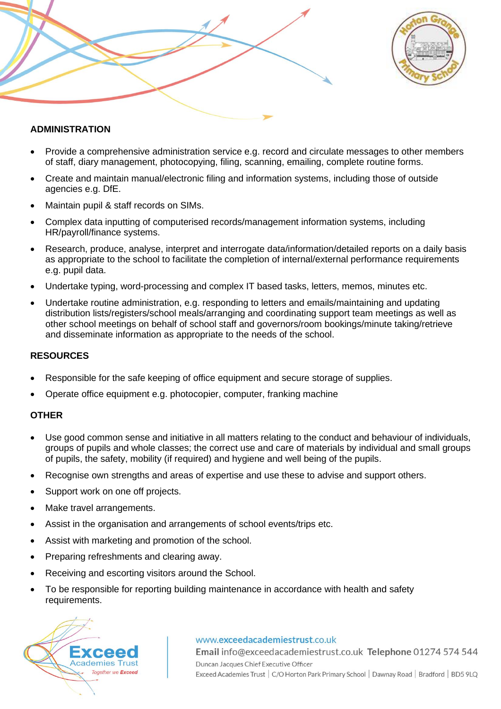



## **ADMINISTRATION**

- Provide a comprehensive administration service e.g. record and circulate messages to other members of staff, diary management, photocopying, filing, scanning, emailing, complete routine forms.
- Create and maintain manual/electronic filing and information systems, including those of outside agencies e.g. DfE.
- Maintain pupil & staff records on SIMs.
- Complex data inputting of computerised records/management information systems, including HR/payroll/finance systems.
- Research, produce, analyse, interpret and interrogate data/information/detailed reports on a daily basis as appropriate to the school to facilitate the completion of internal/external performance requirements e.g. pupil data.
- Undertake typing, word-processing and complex IT based tasks, letters, memos, minutes etc.
- Undertake routine administration, e.g. responding to letters and emails/maintaining and updating distribution lists/registers/school meals/arranging and coordinating support team meetings as well as other school meetings on behalf of school staff and governors/room bookings/minute taking/retrieve and disseminate information as appropriate to the needs of the school.

#### **RESOURCES**

- Responsible for the safe keeping of office equipment and secure storage of supplies.
- Operate office equipment e.g. photocopier, computer, franking machine

### **OTHER**

- Use good common sense and initiative in all matters relating to the conduct and behaviour of individuals, groups of pupils and whole classes; the correct use and care of materials by individual and small groups of pupils, the safety, mobility (if required) and hygiene and well being of the pupils.
- Recognise own strengths and areas of expertise and use these to advise and support others.
- Support work on one off projects.
- Make travel arrangements.
- Assist in the organisation and arrangements of school events/trips etc.
- Assist with marketing and promotion of the school.
- Preparing refreshments and clearing away.
- Receiving and escorting visitors around the School.
- To be responsible for reporting building maintenance in accordance with health and safety requirements.



#### www.exceedacademiestrust.co.uk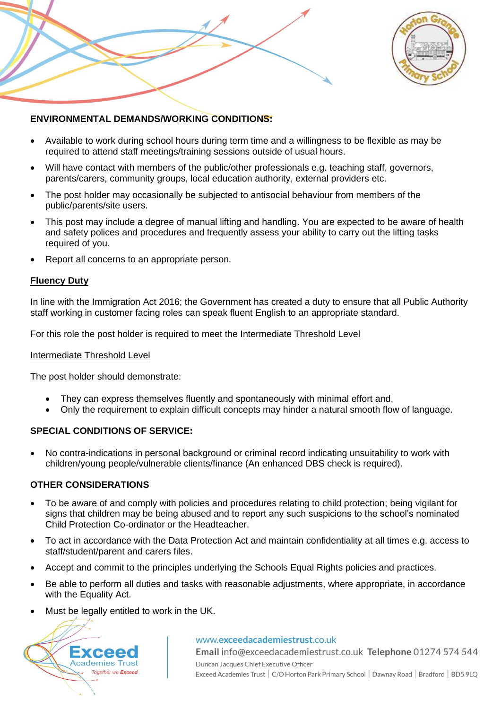



## **ENVIRONMENTAL DEMANDS/WORKING CONDITIONS:**

- Available to work during school hours during term time and a willingness to be flexible as may be required to attend staff meetings/training sessions outside of usual hours.
- Will have contact with members of the public/other professionals e.g. teaching staff, governors, parents/carers, community groups, local education authority, external providers etc.
- The post holder may occasionally be subjected to antisocial behaviour from members of the public/parents/site users.
- This post may include a degree of manual lifting and handling. You are expected to be aware of health and safety polices and procedures and frequently assess your ability to carry out the lifting tasks required of you.
- Report all concerns to an appropriate person.

### **Fluency Duty**

In line with the Immigration Act 2016; the Government has created a duty to ensure that all Public Authority staff working in customer facing roles can speak fluent English to an appropriate standard.

For this role the post holder is required to meet the Intermediate Threshold Level

#### Intermediate Threshold Level

The post holder should demonstrate:

- They can express themselves fluently and spontaneously with minimal effort and,
- Only the requirement to explain difficult concepts may hinder a natural smooth flow of language.

### **SPECIAL CONDITIONS OF SERVICE:**

• No contra-indications in personal background or criminal record indicating unsuitability to work with children/young people/vulnerable clients/finance (An enhanced DBS check is required).

### **OTHER CONSIDERATIONS**

- To be aware of and comply with policies and procedures relating to child protection; being vigilant for signs that children may be being abused and to report any such suspicions to the school's nominated Child Protection Co-ordinator or the Headteacher.
- To act in accordance with the Data Protection Act and maintain confidentiality at all times e.g. access to staff/student/parent and carers files.
- Accept and commit to the principles underlying the Schools Equal Rights policies and practices.
- Be able to perform all duties and tasks with reasonable adjustments, where appropriate, in accordance with the Equality Act.
- Must be legally entitled to work in the UK.



#### www.exceedacademiestrust.co.uk